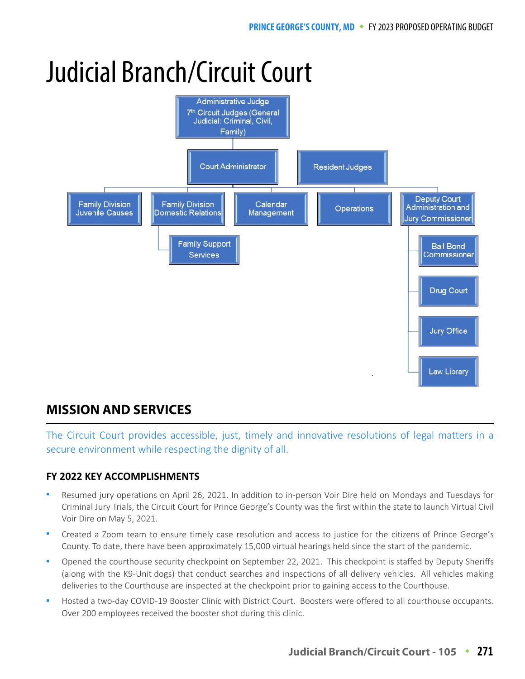# Judicial Branch/Circuit Court



# **MISSION AND SERVICES**

The Circuit Court provides accessible, just, timely and innovative resolutions of legal matters in a secure environment while respecting the dignity of all.

# **FY 2022 KEY ACCOMPLISHMENTS**

- Resumed jury operations on April 26, 2021. In addition to in-person Voir Dire held on Mondays and Tuesdays for Criminal Jury Trials, the Circuit Court for Prince George's County was the first within the state to launch Virtual Civil Voir Dire on May 5, 2021.
- Created a Zoom team to ensure timely case resolution and access to justice for the citizens of Prince George's County. To date, there have been approximately 15,000 virtual hearings held since the start of the pandemic.
- Opened the courthouse security checkpoint on September 22, 2021. This checkpoint is staffed by Deputy Sheriffs (along with the K9-Unit dogs) that conduct searches and inspections of all delivery vehicles. All vehicles making deliveries to the Courthouse are inspected at the checkpoint prior to gaining access to the Courthouse.
- Hosted a two-day COVID-19 Booster Clinic with District Court. Boosters were offered to all courthouse occupants. Over 200 employees received the booster shot during this clinic.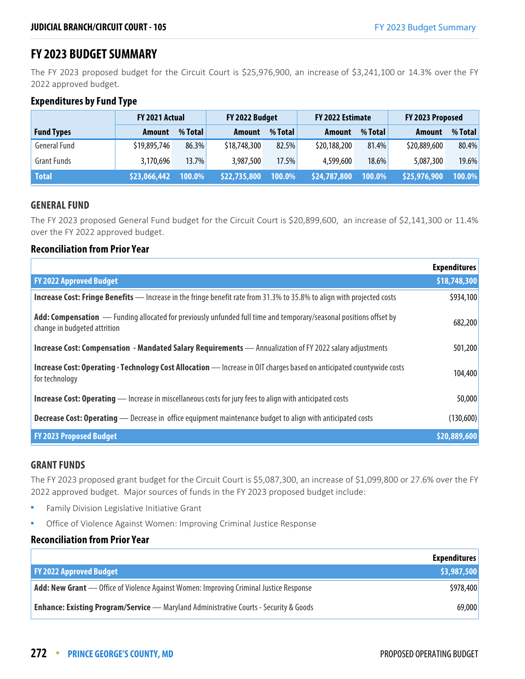# **FY 2023 BUDGET SUMMARY**

The FY 2023 proposed budget for the Circuit Court is \$25,976,900, an increase of \$3,241,100 or 14.3% over the FY 2022 approved budget.

## **Expenditures by Fund Type**

|                     | FY 2021 Actual |          | FY 2022 Budget |         | FY 2022 Estimate |          | FY 2023 Proposed |         |
|---------------------|----------------|----------|----------------|---------|------------------|----------|------------------|---------|
| <b>Fund Types</b>   | <b>Amount</b>  | % Total  | <b>Amount</b>  | % Total | Amount           | % Total  | <b>Amount</b>    | % Total |
| <b>General Fund</b> | \$19,895,746   | 86.3%    | \$18,748,300   | 82.5%   | \$20,188,200     | 81.4%    | \$20,889,600     | 80.4%   |
| <b>Grant Funds</b>  | 3,170,696      | $13.7\%$ | 3,987,500      | 17.5%   | 4,599,600        | $18.6\%$ | 5,087,300        | 19.6%   |
| <b>Total</b>        | \$23,066,442   | 100.0%   | \$22,735,800   | 100.0%  | \$24,787,800     | 100.0%   | \$25,976,900     | 100.0%  |

## **GENERAL FUND**

The FY 2023 proposed General Fund budget for the Circuit Court is \$20,899,600, an increase of \$2,141,300 or 11.4% over the FY 2022 approved budget.

## **Reconciliation from Prior Year**

|                                                                                                                                                    | <b>Expenditures</b> |
|----------------------------------------------------------------------------------------------------------------------------------------------------|---------------------|
| <b>FY 2022 Approved Budget</b>                                                                                                                     | \$18,748,300        |
| <b>Increase Cost: Fringe Benefits</b> — Increase in the fringe benefit rate from 31.3% to 35.8% to align with projected costs                      | \$934,100           |
| Add: Compensation — Funding allocated for previously unfunded full time and temporary/seasonal positions offset by<br>change in budgeted attrition | 682,200             |
| Increase Cost: Compensation - Mandated Salary Requirements - Annualization of FY 2022 salary adjustments                                           | 501,200             |
| <b>Increase Cost: Operating - Technology Cost Allocation</b> — Increase in OIT charges based on anticipated countywide costs<br>for technology     | 104,400             |
| <b>Increase Cost: Operating</b> — Increase in miscellaneous costs for jury fees to align with anticipated costs                                    | 50,000              |
| <b>Decrease Cost: Operating</b> - Decrease in office equipment maintenance budget to align with anticipated costs                                  | (130,600)           |
| <b>FY 2023 Proposed Budget</b>                                                                                                                     | \$20,889,600        |

#### **GRANT FUNDS**

The FY 2023 proposed grant budget for the Circuit Court is \$5,087,300, an increase of \$1,099,800 or 27.6% over the FY 2022 approved budget. Major sources of funds in the FY 2023 proposed budget include:

- **Family Division Legislative Initiative Grant**
- **•** Office of Violence Against Women: Improving Criminal Justice Response

# **Reconciliation from Prior Year**

|                                                                                               | <b>Expenditures</b> |
|-----------------------------------------------------------------------------------------------|---------------------|
| <b>FY 2022 Approved Budget</b>                                                                | \$3,987,500         |
| <b>Add: New Grant</b> — Office of Violence Against Women: Improving Criminal Justice Response | \$978,400           |
| <b>Enhance: Existing Program/Service</b> — Maryland Administrative Courts - Security & Goods  | 69,000              |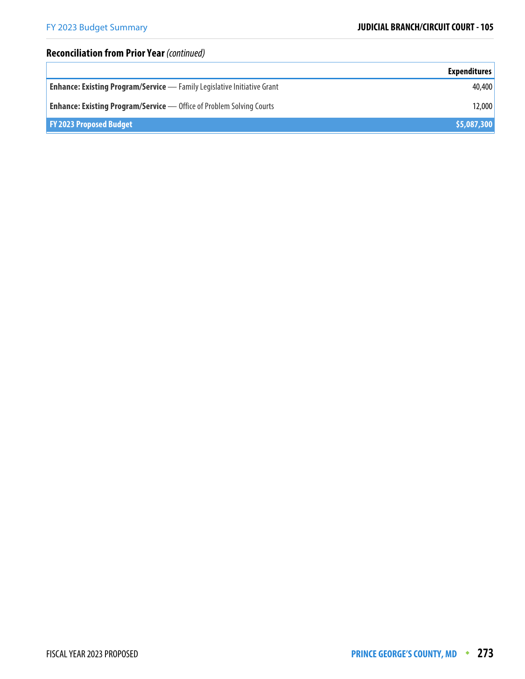# **Reconciliation from Prior Year** (continued)

|                                                                                | <b>Expenditures</b> |
|--------------------------------------------------------------------------------|---------------------|
| <b>Enhance: Existing Program/Service</b> - Family Legislative Initiative Grant | 40,400              |
| <b>Enhance: Existing Program/Service</b> — Office of Problem Solving Courts    | 12,000              |
| <b>FY 2023 Proposed Budget</b>                                                 | \$5,087,300         |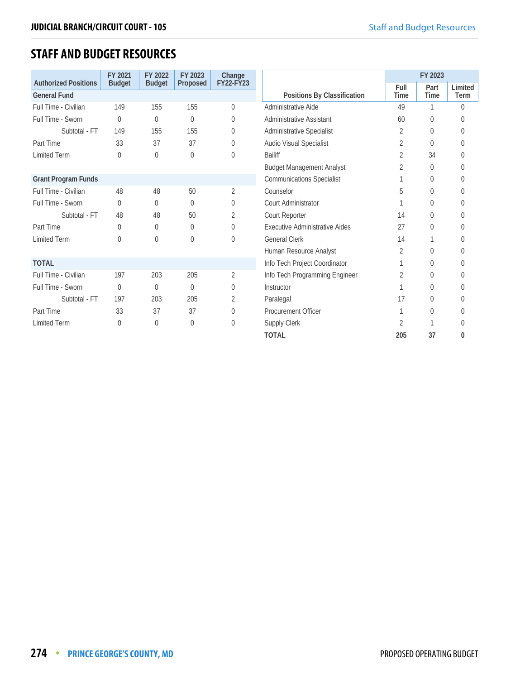# **STAFF AND BUDGET RESOURCES**

|                                                    | FY 2021        | FY 2022       | FY 2023        | Change         |                                       |                | FY 2023      |                 |
|----------------------------------------------------|----------------|---------------|----------------|----------------|---------------------------------------|----------------|--------------|-----------------|
| <b>Authorized Positions</b><br><b>General Fund</b> | <b>Budget</b>  | <b>Budget</b> | Proposed       | FY22-FY23      | Positions By Classification           | Full<br>Time   | Part<br>Time | Limited<br>Term |
|                                                    |                |               |                |                |                                       |                |              |                 |
| Full Time - Civilian                               | 149            | 155           | 155            | $\mathbf 0$    | Administrative Aide                   | 49             |              | $\theta$        |
| Full Time - Sworn                                  | $\Omega$       | 0             | 0              | $\Omega$       | Administrative Assistant              | 60             | $\Omega$     | $\Omega$        |
| Subtotal - FT                                      | 149            | 155           | 155            | 0              | Administrative Specialist             | 2              | $\theta$     | $\Omega$        |
| Part Time                                          | 33             | 37            | 37             | $\overline{0}$ | Audio Visual Specialist               | 2              | $\theta$     | O               |
| <b>Limited Term</b>                                | $\theta$       | 0             | $\Omega$       | $\Omega$       | <b>Bailiff</b>                        | $\overline{2}$ | 34           | $\Omega$        |
|                                                    |                |               |                |                | <b>Budget Management Analyst</b>      | 2              | $\theta$     | 0               |
| <b>Grant Program Funds</b>                         |                |               |                |                | <b>Communications Specialist</b>      |                | $\theta$     | O               |
| Full Time - Civilian                               | 48             | 48            | 50             | $\overline{2}$ | Counselor                             | 5              | $\theta$     | $\Omega$        |
| Full Time - Sworn                                  | $\Omega$       | 0             | $\Omega$       | $\Omega$       | <b>Court Administrator</b>            |                | 0            | 0               |
| Subtotal - FT                                      | 48             | 48            | 50             | 2              | Court Reporter                        | 14             | $\theta$     | O               |
| Part Time                                          | $\overline{0}$ | 0             | 0              | $\mathbf 0$    | <b>Executive Administrative Aides</b> | 27             | 0            | $\Omega$        |
| <b>Limited Term</b>                                | $\Omega$       | $\theta$      | $\Omega$       | $\Omega$       | <b>General Clerk</b>                  | 14             |              | 0               |
|                                                    |                |               |                |                | Human Resource Analyst                | 2              | $\theta$     | O               |
| <b>TOTAL</b>                                       |                |               |                |                | Info Tech Project Coordinator         | 1              | 0            | $\Omega$        |
| Full Time - Civilian                               | 197            | 203           | 205            | $\overline{2}$ | Info Tech Programming Engineer        | 2              | $\theta$     | 0               |
| Full Time - Sworn                                  | $\Omega$       | 0             | $\overline{0}$ | $\mathbf 0$    | Instructor                            |                | $\theta$     | $\Omega$        |
| Subtotal - FT                                      | 197            | 203           | 205            | 2              | Paralegal                             | 17             | 0            | 0               |
| Part Time                                          | 33             | 37            | 37             | 0              | <b>Procurement Officer</b>            |                | $\Omega$     | U               |
| <b>Limited Term</b>                                | $\Omega$       | $\theta$      | $\Omega$       | $\Omega$       | Supply Clerk                          | 2              |              | 0               |
|                                                    |                |               |                |                | <b>TOTAL</b>                          | 205            | 37           | 0               |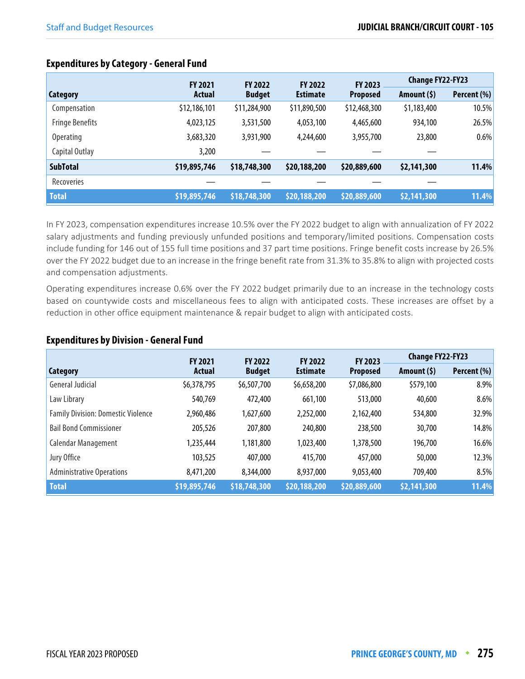|                        |              | <b>FY 2022</b><br><b>FY 2022</b> |                 | <b>FY 2021</b>  |              | <b>FY 2023</b> | <b>Change FY22-FY23</b> |  |
|------------------------|--------------|----------------------------------|-----------------|-----------------|--------------|----------------|-------------------------|--|
| Category               | Actual       | <b>Budget</b>                    | <b>Estimate</b> | <b>Proposed</b> | Amount $(5)$ | Percent (%)    |                         |  |
| Compensation           | \$12,186,101 | \$11,284,900                     | \$11,890,500    | \$12,468,300    | \$1,183,400  | 10.5%          |                         |  |
| <b>Fringe Benefits</b> | 4,023,125    | 3,531,500                        | 4,053,100       | 4,465,600       | 934,100      | 26.5%          |                         |  |
| <b>Operating</b>       | 3,683,320    | 3,931,900                        | 4,244,600       | 3,955,700       | 23,800       | 0.6%           |                         |  |
| Capital Outlay         | 3,200        |                                  |                 |                 |              |                |                         |  |
| <b>SubTotal</b>        | \$19,895,746 | \$18,748,300                     | \$20,188,200    | \$20,889,600    | \$2,141,300  | 11.4%          |                         |  |
| <b>Recoveries</b>      |              |                                  |                 |                 |              |                |                         |  |
| <b>Total</b>           | \$19,895,746 | \$18,748,300                     | \$20,188,200    | \$20,889,600    | \$2,141,300  | 11.4%          |                         |  |

# **Expenditures by Category - General Fund**

In FY 2023, compensation expenditures increase 10.5% over the FY 2022 budget to align with annualization of FY 2022 salary adjustments and funding previously unfunded positions and temporary/limited positions. Compensation costs include funding for 146 out of 155 full time positions and 37 part time positions. Fringe benefit costs increase by 26.5% over the FY 2022 budget due to an increase in the fringe benefit rate from 31.3% to 35.8% to align with projected costs and compensation adjustments.

Operating expenditures increase 0.6% over the FY 2022 budget primarily due to an increase in the technology costs based on countywide costs and miscellaneous fees to align with anticipated costs. These increases are offset by a reduction in other office equipment maintenance & repair budget to align with anticipated costs.

#### **Expenditures by Division - General Fund**

|                                           | <b>FY 2021</b> | <b>FY 2022</b> | <b>FY 2022</b>  | <b>FY 2023</b>  |              | <b>Change FY22-FY23</b> |  |
|-------------------------------------------|----------------|----------------|-----------------|-----------------|--------------|-------------------------|--|
| <b>Category</b>                           | Actual         | <b>Budget</b>  | <b>Estimate</b> | <b>Proposed</b> | Amount $(5)$ | Percent (%)             |  |
| General Judicial                          | \$6,378,795    | \$6,507,700    | \$6,658,200     | \$7,086,800     | \$579,100    | 8.9%                    |  |
| Law Library                               | 540,769        | 472,400        | 661,100         | 513,000         | 40,600       | 8.6%                    |  |
| <b>Family Division: Domestic Violence</b> | 2,960,486      | 1,627,600      | 2,252,000       | 2,162,400       | 534,800      | 32.9%                   |  |
| <b>Bail Bond Commissioner</b>             | 205,526        | 207,800        | 240,800         | 238,500         | 30,700       | 14.8%                   |  |
| Calendar Management                       | 1,235,444      | 1,181,800      | 1,023,400       | 1,378,500       | 196,700      | 16.6%                   |  |
| Jury Office                               | 103,525        | 407,000        | 415,700         | 457,000         | 50,000       | 12.3%                   |  |
| <b>Administrative Operations</b>          | 8,471,200      | 8,344,000      | 8,937,000       | 9,053,400       | 709,400      | 8.5%                    |  |
| <b>Total</b>                              | \$19,895,746   | \$18,748,300   | \$20,188,200    | \$20,889,600    | \$2,141,300  | 11.4%                   |  |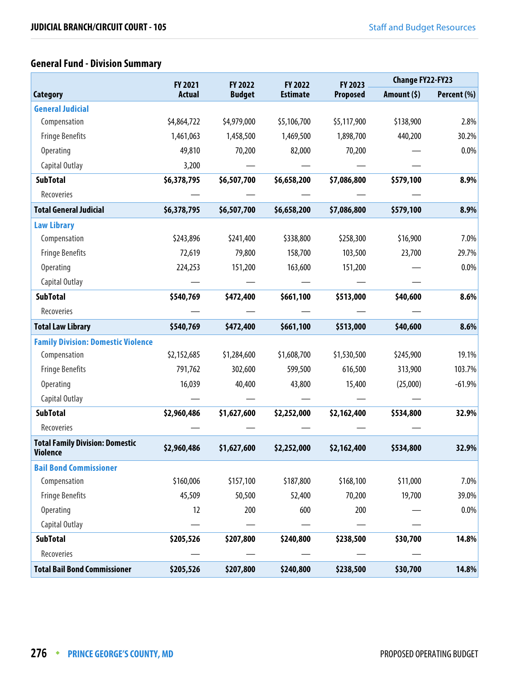# **General Fund - Division Summary**

|                                                           | FY 2021       | <b>FY 2022</b> | FY 2022         | FY 2023         | <b>Change FY22-FY23</b> |             |  |
|-----------------------------------------------------------|---------------|----------------|-----------------|-----------------|-------------------------|-------------|--|
| <b>Category</b>                                           | <b>Actual</b> | <b>Budget</b>  | <b>Estimate</b> | <b>Proposed</b> | Amount $(5)$            | Percent (%) |  |
| <b>General Judicial</b>                                   |               |                |                 |                 |                         |             |  |
| Compensation                                              | \$4,864,722   | \$4,979,000    | \$5,106,700     | \$5,117,900     | \$138,900               | 2.8%        |  |
| <b>Fringe Benefits</b>                                    | 1,461,063     | 1,458,500      | 1,469,500       | 1,898,700       | 440,200                 | 30.2%       |  |
| Operating                                                 | 49,810        | 70,200         | 82,000          | 70,200          |                         | 0.0%        |  |
| Capital Outlay                                            | 3,200         |                |                 |                 |                         |             |  |
| <b>SubTotal</b>                                           | \$6,378,795   | \$6,507,700    | \$6,658,200     | \$7,086,800     | \$579,100               | 8.9%        |  |
| Recoveries                                                |               |                |                 |                 |                         |             |  |
| <b>Total General Judicial</b>                             | \$6,378,795   | \$6,507,700    | \$6,658,200     | \$7,086,800     | \$579,100               | 8.9%        |  |
| <b>Law Library</b>                                        |               |                |                 |                 |                         |             |  |
| Compensation                                              | \$243,896     | \$241,400      | \$338,800       | \$258,300       | \$16,900                | 7.0%        |  |
| <b>Fringe Benefits</b>                                    | 72,619        | 79,800         | 158,700         | 103,500         | 23,700                  | 29.7%       |  |
| <b>Operating</b>                                          | 224,253       | 151,200        | 163,600         | 151,200         |                         | 0.0%        |  |
| Capital Outlay                                            |               |                |                 |                 |                         |             |  |
| <b>SubTotal</b>                                           | \$540,769     | \$472,400      | \$661,100       | \$513,000       | \$40,600                | 8.6%        |  |
| Recoveries                                                |               |                |                 |                 |                         |             |  |
| <b>Total Law Library</b>                                  | \$540,769     | \$472,400      | \$661,100       | \$513,000       | \$40,600                | 8.6%        |  |
| <b>Family Division: Domestic Violence</b>                 |               |                |                 |                 |                         |             |  |
| Compensation                                              | \$2,152,685   | \$1,284,600    | \$1,608,700     | \$1,530,500     | \$245,900               | 19.1%       |  |
| <b>Fringe Benefits</b>                                    | 791,762       | 302,600        | 599,500         | 616,500         | 313,900                 | 103.7%      |  |
| <b>Operating</b>                                          | 16,039        | 40,400         | 43,800          | 15,400          | (25,000)                | $-61.9%$    |  |
| Capital Outlay                                            |               |                |                 |                 |                         |             |  |
| <b>SubTotal</b>                                           | \$2,960,486   | \$1,627,600    | \$2,252,000     | \$2,162,400     | \$534,800               | 32.9%       |  |
| Recoveries                                                |               |                |                 |                 |                         |             |  |
| <b>Total Family Division: Domestic</b><br><b>Violence</b> | \$2,960,486   | \$1,627,600    | \$2,252,000     | \$2,162,400     | \$534,800               | 32.9%       |  |
| <b>Bail Bond Commissioner</b>                             |               |                |                 |                 |                         |             |  |
| Compensation                                              | \$160,006     | \$157,100      | \$187,800       | \$168,100       | \$11,000                | 7.0%        |  |
| <b>Fringe Benefits</b>                                    | 45,509        | 50,500         | 52,400          | 70,200          | 19,700                  | 39.0%       |  |
| <b>Operating</b>                                          | 12            | 200            | 600             | 200             |                         | 0.0%        |  |
| Capital Outlay                                            |               |                |                 |                 |                         |             |  |
| <b>SubTotal</b>                                           | \$205,526     | \$207,800      | \$240,800       | \$238,500       | \$30,700                | 14.8%       |  |
| Recoveries                                                |               |                |                 |                 |                         |             |  |
| <b>Total Bail Bond Commissioner</b>                       | \$205,526     | \$207,800      | \$240,800       | \$238,500       | \$30,700                | 14.8%       |  |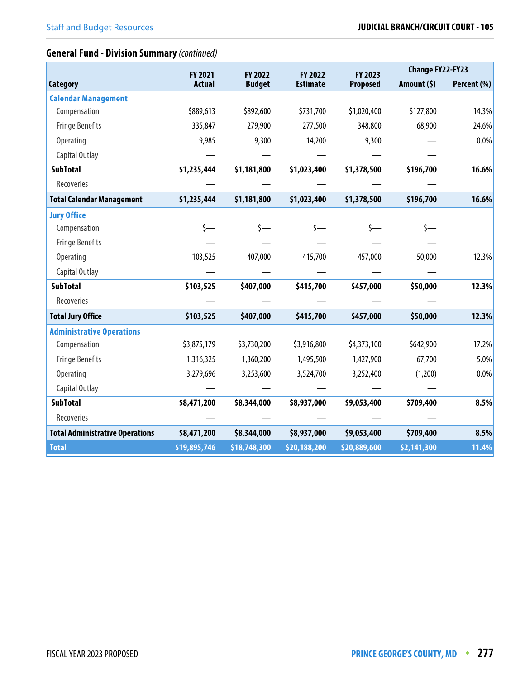# **General Fund - Division Summary** (continued)

|                                        | FY 2021        | FY 2022       | FY 2022         | FY 2023         | <b>Change FY22-FY23</b> |             |  |
|----------------------------------------|----------------|---------------|-----------------|-----------------|-------------------------|-------------|--|
| <b>Category</b>                        | <b>Actual</b>  | <b>Budget</b> | <b>Estimate</b> | <b>Proposed</b> | Amount $(5)$            | Percent (%) |  |
| <b>Calendar Management</b>             |                |               |                 |                 |                         |             |  |
| Compensation                           | \$889,613      | \$892,600     | \$731,700       | \$1,020,400     | \$127,800               | 14.3%       |  |
| <b>Fringe Benefits</b>                 | 335,847        | 279,900       | 277,500         | 348,800         | 68,900                  | 24.6%       |  |
| Operating                              | 9,985          | 9,300         | 14,200          | 9,300           |                         | 0.0%        |  |
| Capital Outlay                         |                |               |                 |                 |                         |             |  |
| <b>SubTotal</b>                        | \$1,235,444    | \$1,181,800   | \$1,023,400     | \$1,378,500     | \$196,700               | 16.6%       |  |
| Recoveries                             |                |               |                 |                 |                         |             |  |
| <b>Total Calendar Management</b>       | \$1,235,444    | \$1,181,800   | \$1,023,400     | \$1,378,500     | \$196,700               | 16.6%       |  |
| <b>Jury Office</b>                     |                |               |                 |                 |                         |             |  |
| Compensation                           | $\mathsf{S}$ — |               | s—              |                 |                         |             |  |
| <b>Fringe Benefits</b>                 |                |               |                 |                 |                         |             |  |
| <b>Operating</b>                       | 103,525        | 407,000       | 415,700         | 457,000         | 50,000                  | 12.3%       |  |
| Capital Outlay                         |                |               |                 |                 |                         |             |  |
| <b>SubTotal</b>                        | \$103,525      | \$407,000     | \$415,700       | \$457,000       | \$50,000                | 12.3%       |  |
| Recoveries                             |                |               |                 |                 |                         |             |  |
| <b>Total Jury Office</b>               | \$103,525      | \$407,000     | \$415,700       | \$457,000       | \$50,000                | 12.3%       |  |
| <b>Administrative Operations</b>       |                |               |                 |                 |                         |             |  |
| Compensation                           | \$3,875,179    | \$3,730,200   | \$3,916,800     | \$4,373,100     | \$642,900               | 17.2%       |  |
| <b>Fringe Benefits</b>                 | 1,316,325      | 1,360,200     | 1,495,500       | 1,427,900       | 67,700                  | 5.0%        |  |
| Operating                              | 3,279,696      | 3,253,600     | 3,524,700       | 3,252,400       | (1,200)                 | 0.0%        |  |
| Capital Outlay                         |                |               |                 |                 |                         |             |  |
| <b>SubTotal</b>                        | \$8,471,200    | \$8,344,000   | \$8,937,000     | \$9,053,400     | \$709,400               | 8.5%        |  |
| Recoveries                             |                |               |                 |                 |                         |             |  |
| <b>Total Administrative Operations</b> | \$8,471,200    | \$8,344,000   | \$8,937,000     | \$9,053,400     | \$709,400               | 8.5%        |  |
| <b>Total</b>                           | \$19,895,746   | \$18,748,300  | \$20,188,200    | \$20,889,600    | \$2,141,300             | 11.4%       |  |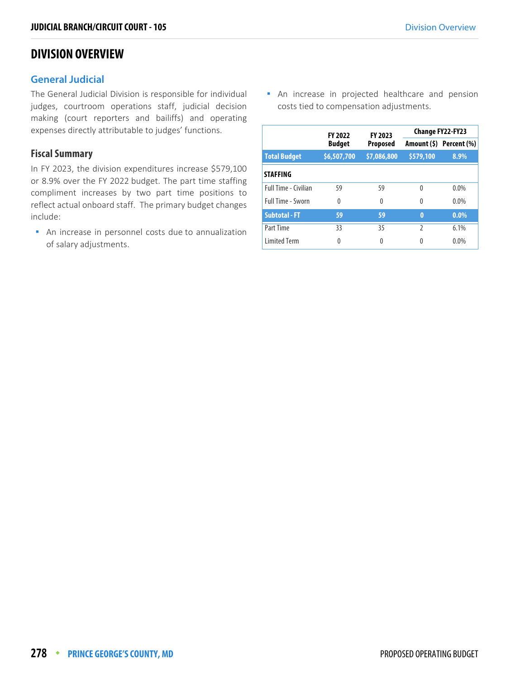# **DIVISION OVERVIEW**

## **General Judicial**

The General Judicial Division is responsible for individual judges, courtroom operations staff, judicial decision making (court reporters and bailiffs) and operating expenses directly attributable to judges' functions.

## **Fiscal Summary**

In FY 2023, the division expenditures increase \$579,100 or 8.9% over the FY 2022 budget. The part time staffing compliment increases by two part time positions to reflect actual onboard staff. The primary budget changes include:

 An increase in personnel costs due to annualization of salary adjustments.

 An increase in projected healthcare and pension costs tied to compensation adjustments.

|                             | <b>FY 2022</b> | FY 2023         | <b>Change FY22-FY23</b> |                         |  |  |
|-----------------------------|----------------|-----------------|-------------------------|-------------------------|--|--|
|                             | <b>Budget</b>  | <b>Proposed</b> |                         | Amount (\$) Percent (%) |  |  |
| <b>Total Budget</b>         | \$6,507,700    | \$7,086,800     | \$579,100               | 8.9%                    |  |  |
| <b>STAFFING</b>             |                |                 |                         |                         |  |  |
| <b>Full Time - Civilian</b> | 59             | 59              | $\Omega$                | $0.0\%$                 |  |  |
| <b>Full Time - Sworn</b>    | $\Omega$       | $\theta$        | 0                       | $0.0\%$                 |  |  |
| <b>Subtotal - FT</b>        | 59             | 59              | $\bf{0}$                | $0.0\%$                 |  |  |
| Part Time                   | 33             | 35              | $\mathfrak{I}$          | 6.1%                    |  |  |
| <b>Limited Term</b>         | 0              | 0               | 0                       | 0.0%                    |  |  |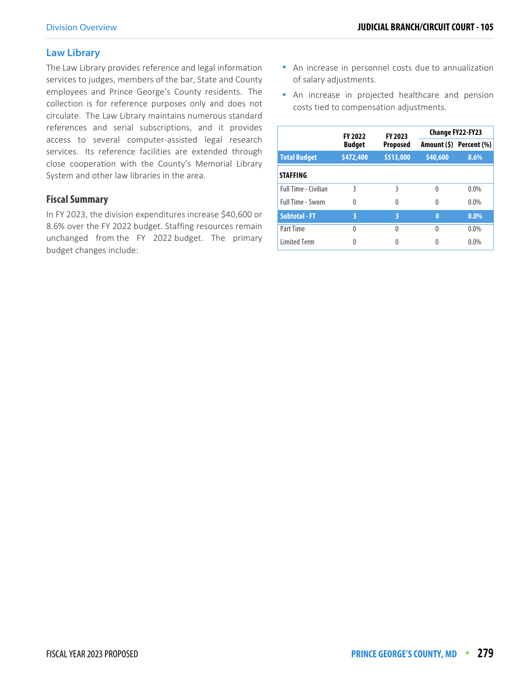# **Law Library**

The Law Library provides reference and legal information services to judges, members of the bar, State and County employees and Prince George's County residents. The collection is for reference purposes only and does not circulate. The Law Library maintains numerous standard references and serial subscriptions, and it provides access to several computer-assisted legal research services. Its reference facilities are extended through close cooperation with the County's Memorial Library System and other law libraries in the area.

# **Fiscal Summary**

In FY 2023, the division expenditures increase \$40,600 or 8.6% over the FY 2022 budget. Staffing resources remain unchanged from the FY 2022 budget. The primary budget changes include:

- An increase in personnel costs due to annualization of salary adjustments.
- **An increase in projected healthcare and pension** costs tied to compensation adjustments.

|                             | <b>FY 2022</b>                   | FY 2023   | <b>Change FY22-FY23</b> |                         |  |  |
|-----------------------------|----------------------------------|-----------|-------------------------|-------------------------|--|--|
|                             | <b>Budget</b><br><b>Proposed</b> |           |                         | Amount (\$) Percent (%) |  |  |
| <b>Total Budget</b>         | \$472,400                        | \$513,000 | \$40,600                | 8.6%                    |  |  |
| <b>STAFFING</b>             |                                  |           |                         |                         |  |  |
| <b>Full Time - Civilian</b> | ξ                                | ξ         | 0                       | $0.0\%$                 |  |  |
| <b>Full Time - Sworn</b>    | 0                                | 0         | 0                       | $0.0\%$                 |  |  |
| <b>Subtotal - FT</b>        | 3                                | 3         | $\bf{0}$                | $0.0\%$                 |  |  |
| Part Time                   | 0                                | U         | <sup>0</sup>            | $0.0\%$                 |  |  |
| <b>Limited Term</b>         | 0                                |           |                         | 0.0%                    |  |  |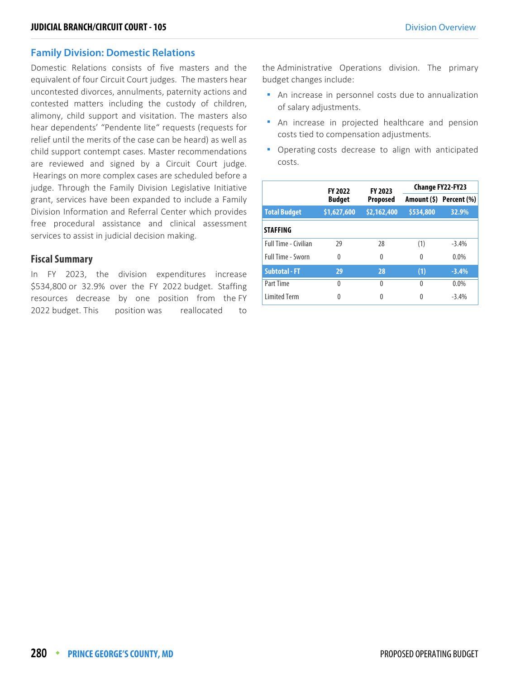#### **Family Division: Domestic Relations**

Domestic Relations consists of five masters and the equivalent of four Circuit Court judges. The masters hear uncontested divorces, annulments, paternity actions and contested matters including the custody of children, alimony, child support and visitation. The masters also hear dependents' "Pendente lite" requests (requests for relief until the merits of the case can be heard) as well as child support contempt cases. Master recommendations are reviewed and signed by a Circuit Court judge. Hearings on more complex cases are scheduled before a judge. Through the Family Division Legislative Initiative grant, services have been expanded to include a Family Division Information and Referral Center which provides free procedural assistance and clinical assessment services to assist in judicial decision making.

#### **Fiscal Summary**

In FY 2023, the division expenditures increase \$534,800 or 32.9% over the FY 2022 budget. Staffing resources decrease by one position from the FY 2022 budget. This position was reallocated to the Administrative Operations division. The primary budget changes include:

- An increase in personnel costs due to annualization of salary adjustments.
- An increase in projected healthcare and pension costs tied to compensation adjustments.
- Operating costs decrease to align with anticipated costs.

|                      | <b>FY 2022</b> | FY 2023     | <b>Change FY22-FY23</b> |                         |  |  |
|----------------------|----------------|-------------|-------------------------|-------------------------|--|--|
|                      | <b>Budget</b>  | Proposed    |                         | Amount (\$) Percent (%) |  |  |
| <b>Total Budget</b>  | \$1,627,600    | \$2,162,400 | \$534,800               | 32.9%                   |  |  |
| <b>STAFFING</b>      |                |             |                         |                         |  |  |
| Full Time - Civilian | 29             | 28          | (1)                     | $-3.4%$                 |  |  |
| Full Time - Sworn    | $\Omega$       | 0           | 0                       | $0.0\%$                 |  |  |
| <b>Subtotal - FT</b> | 29             | 28          | (1)                     | $-3.4%$                 |  |  |
| Part Time            | $\Omega$       | 0           | 0                       | $0.0\%$                 |  |  |
| <b>Limited Term</b>  | 0              | 0           | $\Omega$                | $-3.4%$                 |  |  |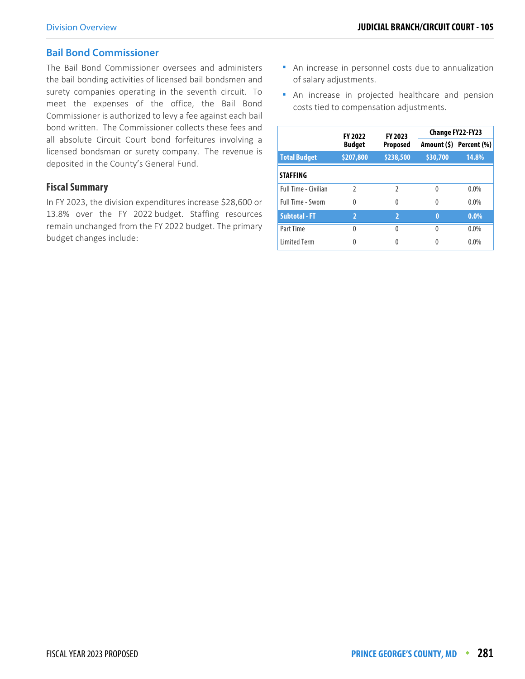## **Bail Bond Commissioner**

The Bail Bond Commissioner oversees and administers the bail bonding activities of licensed bail bondsmen and surety companies operating in the seventh circuit. To meet the expenses of the office, the Bail Bond Commissioner is authorized to levy a fee against each bail bond written. The Commissioner collects these fees and all absolute Circuit Court bond forfeitures involving a licensed bondsman or surety company. The revenue is deposited in the County's General Fund.

### **Fiscal Summary**

In FY 2023, the division expenditures increase \$28,600 or 13.8% over the FY 2022 budget. Staffing resources remain unchanged from the FY 2022 budget. The primary budget changes include:

- An increase in personnel costs due to annualization of salary adjustments.
- **An increase in projected healthcare and pension** costs tied to compensation adjustments.

|                      | <b>FY 2022</b> | FY 2023         | Change FY22-FY23 |                         |  |  |
|----------------------|----------------|-----------------|------------------|-------------------------|--|--|
|                      | <b>Budget</b>  | <b>Proposed</b> |                  | Amount (\$) Percent (%) |  |  |
| <b>Total Budget</b>  | \$207,800      | \$238,500       | \$30,700         | 14.8%                   |  |  |
| <b>STAFFING</b>      |                |                 |                  |                         |  |  |
| Full Time - Civilian | $\mathfrak{I}$ | 2               | 0                | $0.0\%$                 |  |  |
| Full Time - Sworn    | $\Omega$       | 0               | $\Omega$         | $0.0\%$                 |  |  |
| <b>Subtotal - FT</b> | $\overline{2}$ | $\overline{2}$  | $\bf{0}$         | $0.0\%$                 |  |  |
| Part Time            | $\Omega$       | U               | 0                | $0.0\%$                 |  |  |
| <b>Limited Term</b>  | Λ              |                 |                  | 0.0%                    |  |  |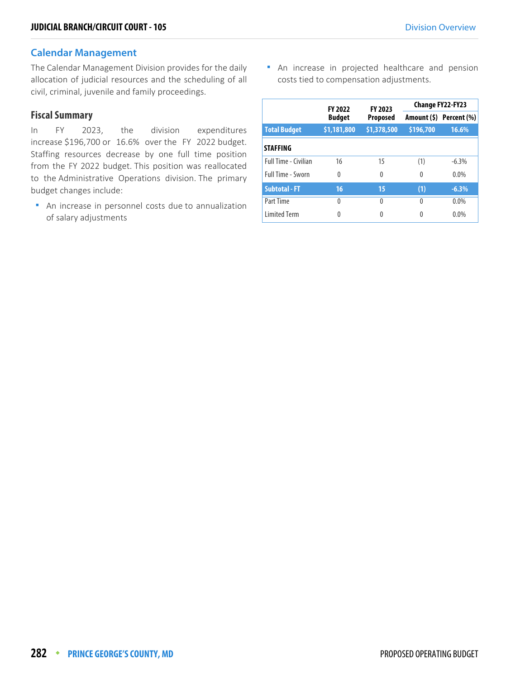### **Calendar Management**

The Calendar Management Division provides for the daily allocation of judicial resources and the scheduling of all civil, criminal, juvenile and family proceedings.

## **Fiscal Summary**

In FY 2023, the division expenditures increase \$196,700 or 16.6% over the FY 2022 budget. Staffing resources decrease by one full time position from the FY 2022 budget. This position was reallocated to the Administrative Operations division. The primary budget changes include:

 An increase in personnel costs due to annualization of salary adjustments

 An increase in projected healthcare and pension costs tied to compensation adjustments.

|                          | <b>FY 2022</b> | FY 2023         | Change FY22-FY23 |                         |  |  |
|--------------------------|----------------|-----------------|------------------|-------------------------|--|--|
|                          | <b>Budget</b>  | <b>Proposed</b> |                  | Amount (\$) Percent (%) |  |  |
| <b>Total Budget</b>      | \$1,181,800    | \$1,378,500     | \$196,700        | 16.6%                   |  |  |
| <b>STAFFING</b>          |                |                 |                  |                         |  |  |
| Full Time - Civilian     | 16             | 15              | (1)              | $-6.3%$                 |  |  |
| <b>Full Time - Sworn</b> | 0              | 0               | 0                | $0.0\%$                 |  |  |
| <b>Subtotal - FT</b>     | 16             | 15              | (1)              | $-6.3%$                 |  |  |
| Part Time                | $\Omega$       | $\theta$        | $\Omega$         | $0.0\%$                 |  |  |
| <b>Limited Term</b>      | 0              | 0               | 0                | 0.0%                    |  |  |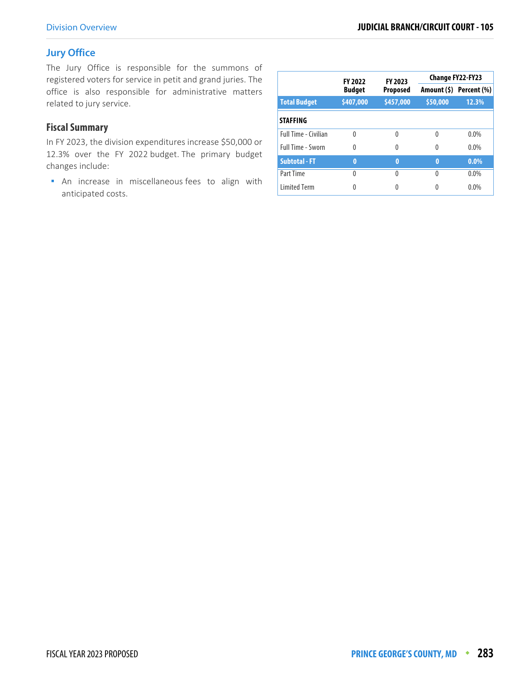# **Jury Office**

The Jury Office is responsible for the summons of registered voters for service in petit and grand juries. The office is also responsible for administrative matters related to jury service.

# **Fiscal Summary**

In FY 2023, the division expenditures increase \$50,000 or 12.3% over the FY 2022 budget. The primary budget changes include:

**An increase in miscellaneous fees to align with** anticipated costs.

|                             | <b>FY 2022</b> | FY 2023         |          | Change FY22-FY23        |  |
|-----------------------------|----------------|-----------------|----------|-------------------------|--|
|                             | <b>Budget</b>  | <b>Proposed</b> |          | Amount (\$) Percent (%) |  |
| <b>Total Budget</b>         | \$407,000      | \$457,000       | \$50,000 | 12.3%                   |  |
| <b>STAFFING</b>             |                |                 |          |                         |  |
| <b>Full Time - Civilian</b> | $\Omega$       | Λ               | 0        | $0.0\%$                 |  |
| <b>Full Time - Sworn</b>    | $\theta$       | Λ               | 0        | $0.0\%$                 |  |
| <b>Subtotal - FT</b>        | 0              | 0               | $\bf{0}$ | $0.0\%$                 |  |
| Part Time                   | $\Omega$       | Λ               | 0        | $0.0\%$                 |  |
| <b>Limited Term</b>         |                |                 |          | $0.0\%$                 |  |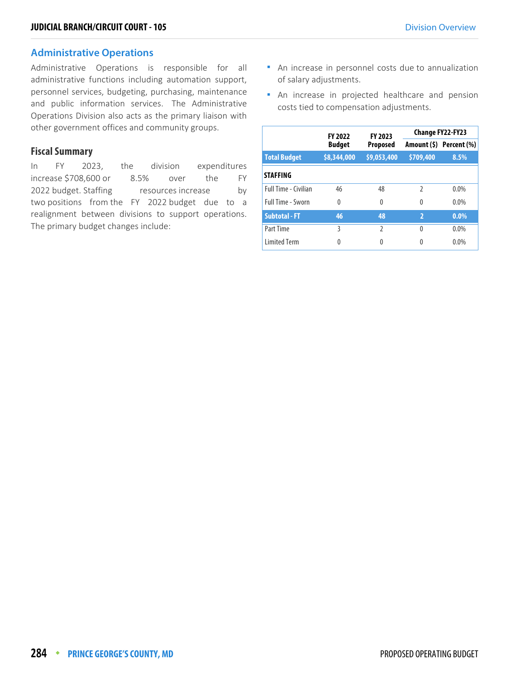## **Administrative Operations**

Administrative Operations is responsible for all administrative functions including automation support, personnel services, budgeting, purchasing, maintenance and public information services. The Administrative Operations Division also acts as the primary liaison with other government offices and community groups.

#### **Fiscal Summary**

In FY 2023, the division expenditures increase \$708,600 or 8.5% over the FY 2022 budget. Staffing resources increase by two positions from the FY 2022 budget due to a realignment between divisions to support operations. The primary budget changes include:

- An increase in personnel costs due to annualization of salary adjustments.
- An increase in projected healthcare and pension costs tied to compensation adjustments.

|                             | <b>FY 2022</b> | FY 2023       | <b>Change FY22-FY23</b> |                         |  |  |
|-----------------------------|----------------|---------------|-------------------------|-------------------------|--|--|
|                             | <b>Budget</b>  | Proposed      |                         | Amount (\$) Percent (%) |  |  |
| <b>Total Budget</b>         | \$8,344,000    | \$9,053,400   | \$709,400               | 8.5%                    |  |  |
| <b>STAFFING</b>             |                |               |                         |                         |  |  |
| <b>Full Time - Civilian</b> | 46             | 48            | $\mathfrak z$           | $0.0\%$                 |  |  |
| <b>Full Time - Sworn</b>    | $\Omega$       | 0             | $\Omega$                | $0.0\%$                 |  |  |
| <b>Subtotal - FT</b>        | 46             | 48            | $\overline{2}$          | $0.0\%$                 |  |  |
| Part Time                   | ξ              | $\mathfrak z$ | 0                       | $0.0\%$                 |  |  |
| <b>Limited Term</b>         | 0              | 0             |                         | 0.0%                    |  |  |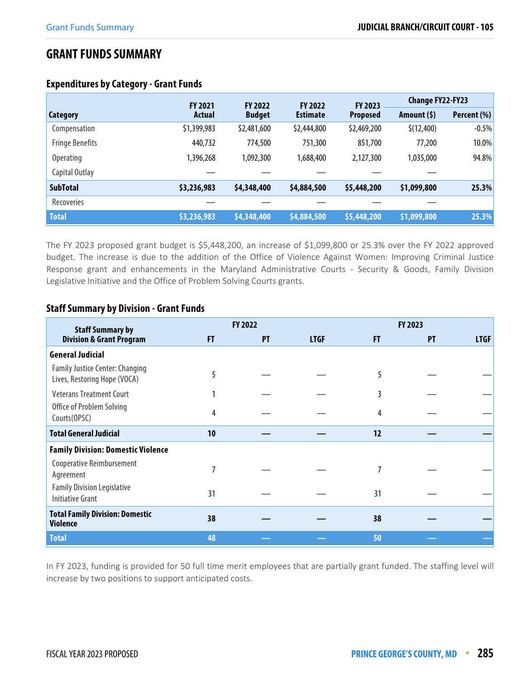# **GRANT FUNDS SUMMARY**

|                        | <b>FY 2021</b> | <b>FY 2022</b> | <b>FY 2022</b>  | FY 2023         | <b>Change FY22-FY23</b> |             |
|------------------------|----------------|----------------|-----------------|-----------------|-------------------------|-------------|
| Category               | Actual         | <b>Budget</b>  | <b>Estimate</b> | <b>Proposed</b> | Amount $(5)$            | Percent (%) |
| Compensation           | \$1,399,983    | \$2,481,600    | \$2,444,800     | \$2,469,200     | \$(12, 400)             | $-0.5%$     |
| <b>Fringe Benefits</b> | 440,732        | 774,500        | 751,300         | 851,700         | 77,200                  | 10.0%       |
| <b>Operating</b>       | 1,396,268      | 1,092,300      | 1,688,400       | 2,127,300       | 1,035,000               | 94.8%       |
| Capital Outlay         |                |                |                 |                 |                         |             |
| <b>SubTotal</b>        | \$3,236,983    | \$4,348,400    | \$4,884,500     | \$5,448,200     | \$1,099,800             | 25.3%       |
| Recoveries             |                |                |                 |                 |                         |             |
| <b>Total</b>           | \$3,236,983    | \$4,348,400    | \$4,884,500     | \$5,448,200     | \$1,099,800             | 25.3%       |

#### **Expenditures by Category - Grant Funds**

The FY 2023 proposed grant budget is \$5,448,200, an increase of \$1,099,800 or 25.3% over the FY 2022 approved budget. The increase is due to the addition of the Office of Violence Against Women: Improving Criminal Justice Response grant and enhancements in the Maryland Administrative Courts - Security & Goods, Family Division Legislative Initiative and the Office of Problem Solving Courts grants.

#### **Staff Summary by Division - Grant Funds**

| <b>Staff Summary by</b>                                                |    | <b>FY 2022</b> |             |    | FY 2023   |             |
|------------------------------------------------------------------------|----|----------------|-------------|----|-----------|-------------|
| <b>Division &amp; Grant Program</b>                                    | FT | <b>PT</b>      | <b>LTGF</b> | FT | <b>PT</b> | <b>LTGF</b> |
| <b>General Judicial</b>                                                |    |                |             |    |           |             |
| <b>Family Justice Center: Changing</b><br>Lives, Restoring Hope (VOCA) | 5  |                |             | 5  |           |             |
| <b>Veterans Treatment Court</b>                                        |    |                |             | 3  |           |             |
| Office of Problem Solving<br>Courts (OPSC)                             | 4  |                |             | 4  |           |             |
| <b>Total General Judicial</b>                                          | 10 |                |             | 12 |           |             |
| <b>Family Division: Domestic Violence</b>                              |    |                |             |    |           |             |
| Cooperative Reimbursement<br>Agreement                                 | 7  |                |             | 7  |           |             |
| <b>Family Division Legislative</b><br><b>Initiative Grant</b>          | 31 |                |             | 31 |           |             |
| <b>Total Family Division: Domestic</b><br><b>Violence</b>              | 38 |                |             | 38 |           |             |
| <b>Total</b>                                                           | 48 |                |             | 50 |           |             |

In FY 2023, funding is provided for 50 full time merit employees that are partially grant funded. The staffing level will increase by two positions to support anticipated costs.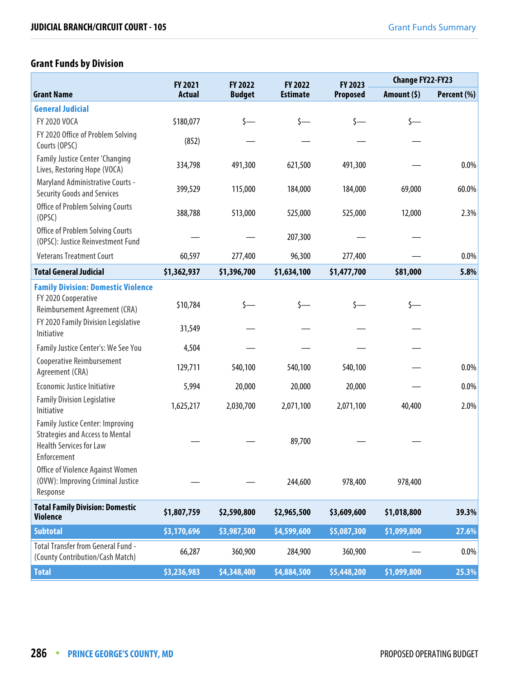# **Grant Funds by Division**

|                                                                                                                                    | <b>FY 2021</b> | FY 2022       | FY 2022         | FY 2023         | <b>Change FY22-FY23</b> |             |
|------------------------------------------------------------------------------------------------------------------------------------|----------------|---------------|-----------------|-----------------|-------------------------|-------------|
| <b>Grant Name</b>                                                                                                                  | <b>Actual</b>  | <b>Budget</b> | <b>Estimate</b> | <b>Proposed</b> | Amount (\$)             | Percent (%) |
| <b>General Judicial</b>                                                                                                            |                |               |                 |                 |                         |             |
| FY 2020 VOCA                                                                                                                       | \$180,077      | \$—           | $\zeta$ —       | \$—             | $\zeta$ —               |             |
| FY 2020 Office of Problem Solving<br>Courts (OPSC)                                                                                 | (852)          |               |                 |                 |                         |             |
| Family Justice Center 'Changing<br>Lives, Restoring Hope (VOCA)                                                                    | 334,798        | 491,300       | 621,500         | 491,300         |                         | 0.0%        |
| Maryland Administrative Courts -<br><b>Security Goods and Services</b>                                                             | 399,529        | 115,000       | 184,000         | 184,000         | 69,000                  | 60.0%       |
| Office of Problem Solving Courts<br>(OPSC)                                                                                         | 388,788        | 513,000       | 525,000         | 525,000         | 12,000                  | 2.3%        |
| <b>Office of Problem Solving Courts</b><br>(OPSC): Justice Reinvestment Fund                                                       |                |               | 207,300         |                 |                         |             |
| <b>Veterans Treatment Court</b>                                                                                                    | 60,597         | 277,400       | 96,300          | 277,400         |                         | 0.0%        |
| <b>Total General Judicial</b>                                                                                                      | \$1,362,937    | \$1,396,700   | \$1,634,100     | \$1,477,700     | \$81,000                | 5.8%        |
| <b>Family Division: Domestic Violence</b><br>FY 2020 Cooperative<br>Reimbursement Agreement (CRA)                                  | \$10,784       | s—            |                 |                 | \$—                     |             |
| FY 2020 Family Division Legislative<br>Initiative                                                                                  | 31,549         |               |                 |                 |                         |             |
| Family Justice Center's: We See You                                                                                                | 4,504          |               |                 |                 |                         |             |
| <b>Cooperative Reimbursement</b><br>Agreement (CRA)                                                                                | 129,711        | 540,100       | 540,100         | 540,100         |                         | 0.0%        |
| Economic Justice Initiative                                                                                                        | 5,994          | 20,000        | 20,000          | 20,000          |                         | 0.0%        |
| <b>Family Division Legislative</b><br>Initiative                                                                                   | 1,625,217      | 2,030,700     | 2,071,100       | 2,071,100       | 40,400                  | 2.0%        |
| <b>Family Justice Center: Improving</b><br><b>Strategies and Access to Mental</b><br><b>Health Services for Law</b><br>Enforcement |                |               | 89,700          |                 |                         |             |
| Office of Violence Against Women<br>(OVW): Improving Criminal Justice<br>Response                                                  |                |               | 244,600         | 978,400         | 978,400                 |             |
| <b>Total Family Division: Domestic</b><br><b>Violence</b>                                                                          | \$1,807,759    | \$2,590,800   | \$2,965,500     | \$3,609,600     | \$1,018,800             | 39.3%       |
| <b>Subtotal</b>                                                                                                                    | \$3,170,696    | \$3,987,500   | \$4,599,600     | \$5,087,300     | \$1,099,800             | 27.6%       |
| Total Transfer from General Fund -<br>(County Contribution/Cash Match)                                                             | 66,287         | 360,900       | 284,900         | 360,900         |                         | $0.0\%$     |
| <b>Total</b>                                                                                                                       | \$3,236,983    | \$4,348,400   | \$4,884,500     | \$5,448,200     | \$1,099,800             | 25.3%       |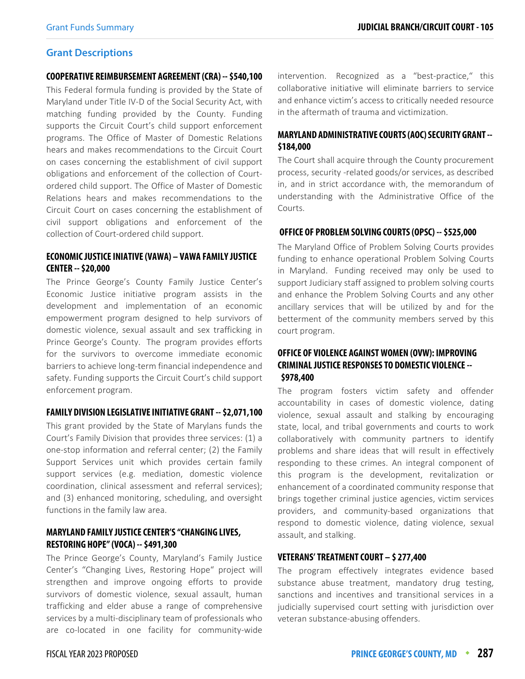#### **Grant Descriptions**

#### **COOPERATIVE REIMBURSEMENT AGREEMENT (CRA) -- \$540,100**

This Federal formula funding is provided by the State of Maryland under Title IV-D of the Social Security Act, with matching funding provided by the County. Funding supports the Circuit Court's child support enforcement programs. The Office of Master of Domestic Relations hears and makes recommendations to the Circuit Court on cases concerning the establishment of civil support obligations and enforcement of the collection of Courtordered child support. The Office of Master of Domestic Relations hears and makes recommendations to the Circuit Court on cases concerning the establishment of civil support obligations and enforcement of the collection of Court-ordered child support.

#### **ECONOMIC JUSTICE INIATIVE (VAWA) – VAWA FAMILY JUSTICE CENTER -- \$20,000**

The Prince George's County Family Justice Center's Economic Justice initiative program assists in the development and implementation of an economic empowerment program designed to help survivors of domestic violence, sexual assault and sex trafficking in Prince George's County. The program provides efforts for the survivors to overcome immediate economic barriers to achieve long-term financial independence and safety. Funding supports the Circuit Court's child support enforcement program.

#### **FAMILY DIVISION LEGISLATIVE INITIATIVE GRANT -- \$2,071,100**

This grant provided by the State of Marylans funds the Court's Family Division that provides three services: (1) a one-stop information and referral center; (2) the Family Support Services unit which provides certain family support services (e.g. mediation, domestic violence coordination, clinical assessment and referral services); and (3) enhanced monitoring, scheduling, and oversight functions in the family law area.

#### **MARYLAND FAMILY JUSTICE CENTER'S "CHANGING LIVES, RESTORING HOPE" (VOCA) -- \$491,300**

The Prince George's County, Maryland's Family Justice Center's "Changing Lives, Restoring Hope" project will strengthen and improve ongoing efforts to provide survivors of domestic violence, sexual assault, human trafficking and elder abuse a range of comprehensive services by a multi-disciplinary team of professionals who are co-located in one facility for community-wide

intervention. Recognized as a "best-practice," this collaborative initiative will eliminate barriers to service and enhance victim's access to critically needed resource in the aftermath of trauma and victimization.

#### **MARYLAND ADMINISTRATIVE COURTS (AOC) SECURITY GRANT -- \$184,000**

The Court shall acquire through the County procurement process, security -related goods/or services, as described in, and in strict accordance with, the memorandum of understanding with the Administrative Office of the Courts.

#### **OFFICE OF PROBLEM SOLVING COURTS (OPSC) -- \$525,000**

The Maryland Office of Problem Solving Courts provides funding to enhance operational Problem Solving Courts in Maryland. Funding received may only be used to support Judiciary staff assigned to problem solving courts and enhance the Problem Solving Courts and any other ancillary services that will be utilized by and for the betterment of the community members served by this court program.

#### **OFFICE OF VIOLENCE AGAINST WOMEN (OVW): IMPROVING CRIMINAL JUSTICE RESPONSES TO DOMESTIC VIOLENCE -- \$978,400**

The program fosters victim safety and offender accountability in cases of domestic violence, dating violence, sexual assault and stalking by encouraging state, local, and tribal governments and courts to work collaboratively with community partners to identify problems and share ideas that will result in effectively responding to these crimes. An integral component of this program is the development, revitalization or enhancement of a coordinated community response that brings together criminal justice agencies, victim services providers, and community-based organizations that respond to domestic violence, dating violence, sexual assault, and stalking.

#### **VETERANS' TREATMENT COURT – \$ 277,400**

The program effectively integrates evidence based substance abuse treatment, mandatory drug testing, sanctions and incentives and transitional services in a judicially supervised court setting with jurisdiction over veteran substance-abusing offenders.